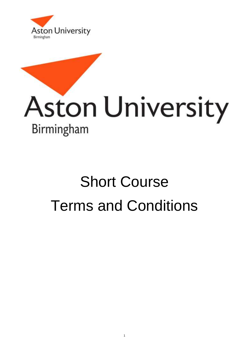

# **Aston University** Birmingham

# Short Course Terms and Conditions

1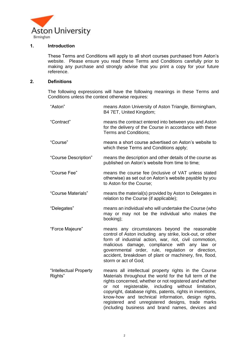

### **1. Introduction**

These Terms and Conditions will apply to all short courses purchased from Aston's website. Please ensure you read these Terms and Conditions carefully prior to making any purchase and strongly advise that you print a copy for your future reference.

## **2. Definitions**

The following expressions will have the following meanings in these Terms and Conditions unless the context otherwise requires:

| "Aston"                           | means Aston University of Aston Triangle, Birmingham,<br>B4 7ET, United Kingdom;                                                                                                                                                                                                                                                                                                                                                                                         |
|-----------------------------------|--------------------------------------------------------------------------------------------------------------------------------------------------------------------------------------------------------------------------------------------------------------------------------------------------------------------------------------------------------------------------------------------------------------------------------------------------------------------------|
| "Contract"                        | means the contract entered into between you and Aston<br>for the delivery of the Course in accordance with these<br>Terms and Conditions;                                                                                                                                                                                                                                                                                                                                |
| "Course"                          | means a short course advertised on Aston's website to<br>which these Terms and Conditions apply;                                                                                                                                                                                                                                                                                                                                                                         |
| "Course Description"              | means the description and other details of the course as<br>published on Aston's website from time to time;                                                                                                                                                                                                                                                                                                                                                              |
| "Course Fee"                      | means the course fee (inclusive of VAT unless stated<br>otherwise) as set out on Aston's website payable by you<br>to Aston for the Course;                                                                                                                                                                                                                                                                                                                              |
| "Course Materials"                | means the material(s) provided by Aston to Delegates in<br>relation to the Course (if applicable);                                                                                                                                                                                                                                                                                                                                                                       |
| "Delegates"                       | means an individual who will undertake the Course (who<br>may or may not be the individual who makes the<br>booking);                                                                                                                                                                                                                                                                                                                                                    |
| "Force Majeure"                   | means any circumstances beyond the reasonable<br>control of Aston including any strike, lock-out, or other<br>form of industrial action, war, riot, civil commotion,<br>malicious damage, compliance with any law or<br>governmental order, rule, regulation or direction,<br>accident, breakdown of plant or machinery, fire, flood,<br>storm or act of God;                                                                                                            |
| "Intellectual Property<br>Rights" | means all intellectual property rights in the Course<br>Materials throughout the world for the full term of the<br>rights concerned, whether or not registered and whether<br>registerable, including<br>without<br>limitation,<br>or<br>not<br>copyright, database rights, patents, rights in inventions,<br>know-how and technical information, design rights,<br>registered and unregistered designs, trade marks<br>(including business and brand names, devices and |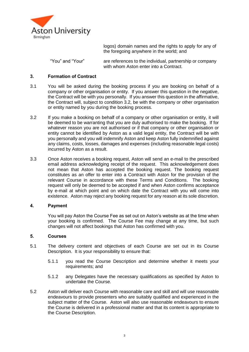

logos) domain names and the rights to apply for any of the foregoing anywhere in the world; and

"You" and "Your" are references to the individual, partnership or company with whom Aston enter into a Contract.

#### **3. Formation of Contract**

- 3.1 You will be asked during the booking process if you are booking on behalf of a company or other organisation or entity. If you answer this question in the negative, the Contract will be with you personally. If you answer this question in the affirmative, the Contract will, subject to condition [3.2,](#page-2-0) be with the company or other organisation or entity named by you during the booking process.
- <span id="page-2-0"></span>3.2 If you make a booking on behalf of a company or other organisation or entity, it will be deemed to be warranting that you are duly authorised to make the booking. If for whatever reason you are not authorised or if that company or other organisation or entity cannot be identified by Aston as a valid legal entity, the Contract will be with you personally and you will indemnify Aston and keep Aston fully indemnified against any claims, costs, losses, damages and expenses (including reasonable legal costs) incurred by Aston as a result.
- 3.3 Once Aston receives a booking request, Aston will send an e-mail to the prescribed email address acknowledging receipt of the request. This acknowledgement does not mean that Aston has accepted the booking request. The booking request constitutes as an offer to enter into a Contract with Aston for the provision of the relevant Course in accordance with these Terms and Conditions. The booking request will only be deemed to be accepted if and when Aston confirms acceptance by e-mail at which point and on which date the Contract with you will come into existence. Aston may reject any booking request for any reason at its sole discretion.

#### **4. Payment**

You will pay Aston the Course Fee as set out on Aston's website as at the time when your booking is confirmed. The Course Fee may change at any time, but such changes will not affect bookings that Aston has confirmed with you.

# **5. Courses**

- 5.1 The delivery content and objectives of each Course are set out in its Course Description. It is your responsibility to ensure that:
	- 5.1.1 you read the Course Description and determine whether it meets your requirements; and
	- 5.1.2 any Delegates have the necessary qualifications as specified by Aston to undertake the Course.
- 5.2 Aston will deliver each Course with reasonable care and skill and will use reasonable endeavours to provide presenters who are suitably qualified and experienced in the subject matter of the Course. Aston will also use reasonable endeavours to ensure the Course is delivered in a professional matter and that its content is appropriate to the Course Description.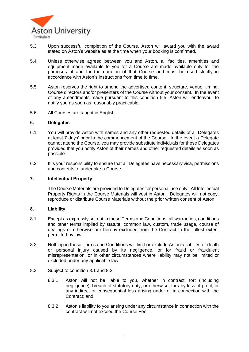

- 5.3 Upon successful completion of the Course, Aston will award you with the award stated on Aston's website as at the time when your booking is confirmed.
- 5.4 Unless otherwise agreed between you and Aston, all facilities, amenities and equipment made available to you for a Course are made available only for the purposes of and for the duration of that Course and must be used strictly in accordance with Aston's instructions from time to time.
- <span id="page-3-0"></span>5.5 Aston reserves the right to amend the advertised content, structure, venue, timing, Course directors and/or presenters of the Course without your consent. In the event of any amendments made pursuant to this condition [5.5,](#page-3-0) Aston will endeavour to notify you as soon as reasonably practicable.
- 5.6 All Courses are taught in English.

#### **6. Delegates**

- 6.1 You will provide Aston with names and any other requested details of all Delegates at least 7 days' prior to the commencement of the Course. In the event a Delegate cannot attend the Course, you may provide substitute individuals for these Delegates provided that you notify Aston of their names and other requested details as soon as possible.
- 6.2 It is your responsibility to ensure that all Delegates have necessary visa, permissions and contents to undertake a Course.

#### **7. Intellectual Property**

The Course Materials are provided to Delegates for personal use only. All Intellectual Property Rights in the Course Materials will vest in Aston. Delegates will not copy, reproduce or distribute Course Materials without the prior written consent of Aston.

#### **8. Liability**

- <span id="page-3-1"></span>8.1 Except as expressly set out in these Terms and Conditions, all warranties, conditions and other terms implied by statute, common law, custom, trade usage, course of dealings or otherwise are hereby excluded from the Contract to the fullest extent permitted by law.
- <span id="page-3-2"></span>8.2 Nothing in these Terms and Conditions will limit or exclude Aston's liability for death or personal injury caused by its negligence, or for fraud or fraudulent misrepresentation, or in other circumstances where liability may not be limited or excluded under any applicable law.
- 8.3 Subject to condition [8.1](#page-3-1) and [8.2:](#page-3-2)
	- 8.3.1 Aston will not be liable to you, whether in contract, tort (including negligence), breach of statutory duty, or otherwise, for any loss of profit, or any indirect or consequential loss arising under or in connection with the Contract; and
	- 8.3.2 Aston's liability to you arising under any circumstance in connection with the contract will not exceed the Course Fee.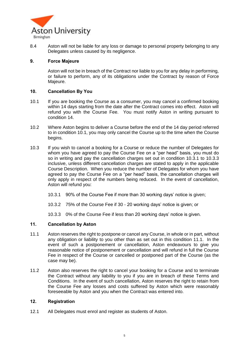

8.4 Aston will not be liable for any loss or damage to personal property belonging to any Delegates unless caused by its negligence.

#### **9. Force Majeure**

Aston will not be in breach of the Contract nor liable to you for any delay in performing, or failure to perform, any of its obligations under the Contract by reason of Force Majeure.

#### <span id="page-4-4"></span>**10. Cancellation By You**

- <span id="page-4-0"></span>10.1 If you are booking the Course as a consumer, you may cancel a confirmed booking within 14 days starting from the date after the Contract comes into effect. Aston will refund you with the Course Fee. You must notify Aston in writing pursuant to condition [14.](#page-5-0)
- 10.2 Where Aston begins to deliver a Course before the end of the 14 day period referred to in condition [10.1,](#page-4-0) you may only cancel the Course up to the time when the Course begins.
- 10.3 If you wish to cancel a booking for a Course or reduce the number of Delegates for whom you have agreed to pay the Course Fee on a "per head" basis, you must do so in writing and pay the cancellation charges set out in condition [10.3.1](#page-4-1) to [10.3.3](#page-4-2) inclusive, unless different cancellation charges are stated to apply in the applicable Course Description. When you reduce the number of Delegates for whom you have agreed to pay the Course Fee on a "per head" basis, the cancellation charges will only apply in respect of the numbers being reduced. In the event of cancellation, Aston will refund you:
	- 10.3.1 90% of the Course Fee if more than 30 working days' notice is given;
	- 10.3.2 75% of the Course Fee if 30 20 working days' notice is given; or

<span id="page-4-1"></span>10.3.3 0% of the Course Fee if less than 20 working days' notice is given.

#### <span id="page-4-2"></span>**11. Cancellation by Aston**

- <span id="page-4-3"></span>11.1 Aston reserves the right to postpone or cancel any Course, in whole or in part, without any obligation or liability to you other than as set out in this condition [11.1.](#page-4-3) In the event of such a postponement or cancellation, Aston endeavours to give you reasonable notice of postponement or cancellation and will refund in full the Course Fee in respect of the Course or cancelled or postponed part of the Course (as the case may be).
- 11.2 Aston also reserves the right to cancel your booking for a Course and to terminate the Contract without any liability to you if you are in breach of these Terms and Conditions. In the event of such cancellation, Aston reserves the right to retain from the Course Fee any losses and costs suffered by Aston which were reasonably foreseeable by Aston and you when the Contract was entered into.

#### **12. Registration**

12.1 All Delegates must enrol and register as students of Aston.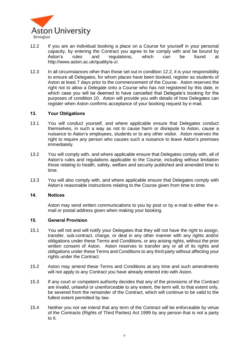

- <span id="page-5-1"></span>12.2 If you are an individual booking a place on a Course for yourself in your personal capacity, by entering the Contract you agree to be comply with and be bound by Aston's rules and regulations, which can be found at http://www.aston.ac.uk/quality/a-z/.
- 12.3 In all circumstances other than those set out in condition [12.2,](#page-5-1) it is your responsibility to ensure all Delegates, for whom places have been booked, register as students of Aston at least 7 days prior to the commencement of the Course. Aston reserves the right not to allow a Delegate onto a Course who has not registered by this date, in which case you will be deemed to have cancelled that Delegate's booking for the purposes of condition [10.](#page-4-4) Aston will provide you with details of how Delegates can register when Aston confirms acceptance of your booking request by e-mail.

#### **13. Your Obligations**

- 13.1 You will conduct yourself, and where applicable ensure that Delegates conduct themselves, in such a way as not to cause harm or disrepute to Aston, cause a nuisance to Aston's employees, students or to any other visitor. Aston reserves the right to require any person who causes such a nuisance to leave Aston's premises immediately.
- 13.2 You will comply with, and where applicable ensure that Delegates comply with, all of Aston's rules and regulations applicable to the Course, including without limitation those relating to health, safety, welfare and security published and amended time to time.
- 13.3 You will also comply with, and where applicable ensure that Delegates comply with Aston's reasonable instructions relating to the Course given from time to time.

#### <span id="page-5-0"></span>**14. Notices**

Aston may send written communications to you by post or by e-mail to either the email or postal address given when making your booking.

#### **15. General Provision**

- 15.1 You will not and will notify your Delegates that they will not have the right to assign, transfer, sub-contract, charge, or deal in any other manner with any rights and/or obligations under these Terms and Conditions, or any arising rights, without the prior written consent of Aston. Aston reserves to transfer any or all of its rights and obligations under these Terms and Conditions to any third party without affecting your rights under the Contract.
- 15.2 Aston may amend these Terms and Conditions at any time and such amendments will not apply to any Contract you have already entered into with Aston.
- 15.3 If any court or competent authority decides that any of the provisions of the Contract are invalid, unlawful or unenforceable to any extent, the term will, to that extent only, be severed from the remainder of the Contract, which will continue to be valid to the fullest extent permitted by law.
- 15.4 Neither you nor we intend that any term of the Contract will be enforceable by virtue of the Contracts (Rights of Third Parties) Act 1999 by any person that is not a party to it.